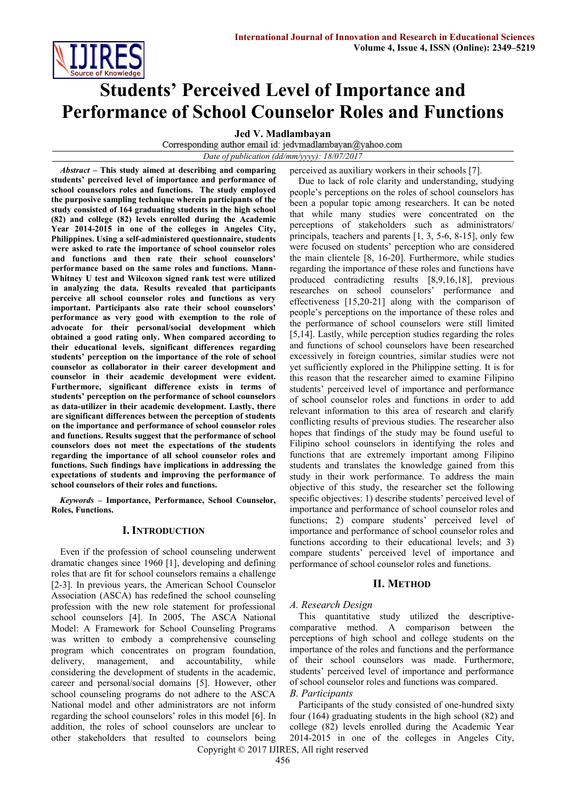

# **Students' Perceived Level of Importance and Performance of School Counselor Roles and Functions**

**Jed V. Madlambayan**<br>Corresponding author email id: jedvmadlambayan@yahoo.com

*Date of publication (dd/mm/yyyy): 18/07/2017*

*Abstract* **– This study aimed at describing and comparing students' perceived level of importance and performance of school counselors roles and functions. The study employed the purposive sampling technique wherein participants of the study consisted of 164 graduating students in the high school (82) and college (82) levels enrolled during the Academic Year 2014-2015 in one of the colleges in Angeles City, Philippines. Using a self-administered questionnaire, students were asked to rate the importance of school counselor roles and functions and then rate their school counselors' performance based on the same roles and functions. Mann-Whitney U test and Wilcoxon signed rank test were utilized in analyzing the data. Results revealed that participants perceive all school counselor roles and functions as very important. Participants also rate their school counselors' performance as very good with exemption to the role of advocate for their personal/social development which obtained a good rating only. When compared according to their educational levels, significant differences regarding students' perception on the importance of the role of school counselor as collaborator in their career development and counselor in their academic development were evident. Furthermore, significant difference exists in terms of students' perception on the performance of school counselors as data-utilizer in their academic development. Lastly, there are significant differences between the perception of students on the importance and performance of school counselor roles and functions. Results suggest that the performance of school counselors does not meet the expectations of the students regarding the importance of all school counselor roles and functions. Such findings have implications in addressing the expectations of students and improving the performance of school counselors of their roles and functions.** 

*Keywords* **– Importance, Performance, School Counselor, Roles, Functions.**

# **I. INTRODUCTION**

Even if the profession of school counseling underwent dramatic changes since 1960 [1], developing and defining roles that are fit for school counselors remains a challenge [2-3]. In previous years, the American School Counselor Association (ASCA) has redefined the school counseling profession with the new role statement for professional school counselors [4]. In 2005, The ASCA National Model: A Framework for School Counseling Programs was written to embody a comprehensive counseling program which concentrates on program foundation, delivery, management, and accountability, while considering the development of students in the academic, career and personal/social domains [5]. However, other school counseling programs do not adhere to the ASCA National model and other administrators are not inform regarding the school counselors' roles in this model [6]. In addition, the roles of school counselors are unclear to other stakeholders that resulted to counselors being perceived as auxiliary workers in their schools [7].

Due to lack of role clarity and understanding, studying people's perceptions on the roles of school counselors has been a popular topic among researchers. It can be noted that while many studies were concentrated on the perceptions of stakeholders such as administrators/ principals, teachers and parents [1, 3, 5-6, 8-15], only few were focused on students' perception who are considered the main clientele [8, 16-20]. Furthermore, while studies regarding the importance of these roles and functions have produced contradicting results [8,9,16,18], previous researches on school counselors' performance and effectiveness [15,20-21] along with the comparison of people's perceptions on the importance of these roles and the performance of school counselors were still limited [5,14]. Lastly, while perception studies regarding the roles and functions of school counselors have been researched excessively in foreign countries, similar studies were not yet sufficiently explored in the Philippine setting. It is for this reason that the researcher aimed to examine Filipino students' perceived level of importance and performance of school counselor roles and functions in order to add relevant information to this area of research and clarify conflicting results of previous studies. The researcher also hopes that findings of the study may be found useful to Filipino school counselors in identifying the roles and functions that are extremely important among Filipino students and translates the knowledge gained from this study in their work performance. To address the main objective of this study, the researcher set the following specific objectives: 1) describe students' perceived level of importance and performance of school counselor roles and functions; 2) compare students' perceived level of importance and performance of school counselor roles and functions according to their educational levels; and 3) compare students' perceived level of importance and performance of school counselor roles and functions.

#### **II. METHOD**

#### *A. Research Design*

This quantitative study utilized the descriptivecomparative method. A comparison between the perceptions of high school and college students on the importance of the roles and functions and the performance of their school counselors was made. Furthermore, students' perceived level of importance and performance of school counselor roles and functions was compared. *B. Participants*

Copyright © 2017 IJIRES, All right reserved Participants of the study consisted of one-hundred sixty four (164) graduating students in the high school (82) and college (82) levels enrolled during the Academic Year 2014-2015 in one of the colleges in Angeles City,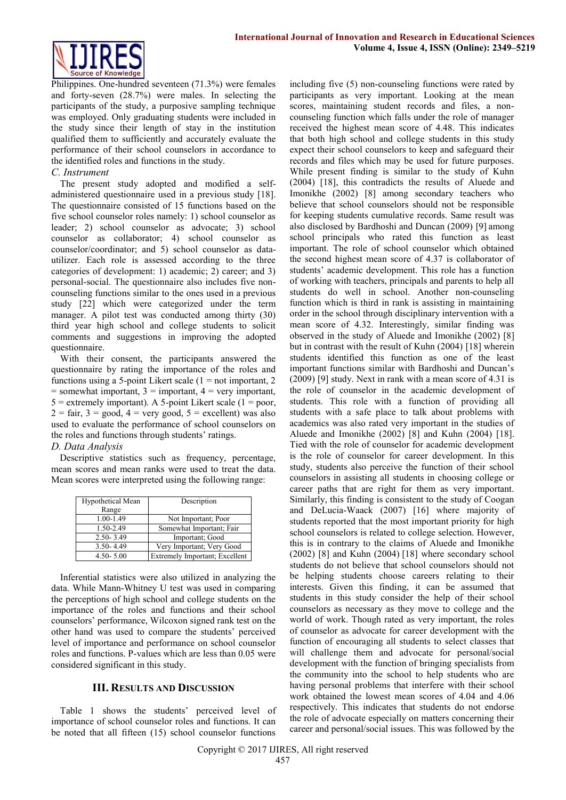

Philippines. One-hundred seventeen (71.3%) were females and forty-seven (28.7%) were males. In selecting the participants of the study, a purposive sampling technique was employed. Only graduating students were included in the study since their length of stay in the institution qualified them to sufficiently and accurately evaluate the performance of their school counselors in accordance to the identified roles and functions in the study.

### *C. Instrument*

The present study adopted and modified a selfadministered questionnaire used in a previous study [18]. The questionnaire consisted of 15 functions based on the five school counselor roles namely: 1) school counselor as leader; 2) school counselor as advocate; 3) school counselor as collaborator; 4) school counselor as counselor/coordinator; and 5) school counselor as datautilizer. Each role is assessed according to the three categories of development: 1) academic; 2) career; and 3) personal-social. The questionnaire also includes five noncounseling functions similar to the ones used in a previous study [22] which were categorized under the term manager. A pilot test was conducted among thirty (30) third year high school and college students to solicit comments and suggestions in improving the adopted questionnaire.

With their consent, the participants answered the questionnaire by rating the importance of the roles and functions using a 5-point Likert scale  $(1 = not important, 2)$  $=$  somewhat important,  $3 =$  important,  $4 =$  very important,  $5 =$  extremely important). A 5-point Likert scale (1 = poor,  $2 = \text{fair}, 3 = \text{good}, 4 = \text{very good}, 5 = \text{excellent}$  was also used to evaluate the performance of school counselors on the roles and functions through students' ratings.

# *D. Data Analysis*

Descriptive statistics such as frequency, percentage, mean scores and mean ranks were used to treat the data. Mean scores were interpreted using the following range:

| Hypothetical Mean | Description                    |
|-------------------|--------------------------------|
| Range             |                                |
| 1.00-1.49         | Not Important; Poor            |
| 1.50-2.49         | Somewhat Important; Fair       |
| $2.50 - 3.49$     | Important; Good                |
| $3.50 - 4.49$     | Very Important; Very Good      |
| $4.50 - 5.00$     | Extremely Important; Excellent |

Inferential statistics were also utilized in analyzing the data. While Mann-Whitney U test was used in comparing the perceptions of high school and college students on the importance of the roles and functions and their school counselors' performance, Wilcoxon signed rank test on the other hand was used to compare the students' perceived level of importance and performance on school counselor roles and functions. P-values which are less than 0.05 were considered significant in this study.

# **III. RESULTS AND DISCUSSION**

Table 1 shows the students' perceived level of importance of school counselor roles and functions. It can be noted that all fifteen (15) school counselor functions

including five (5) non-counseling functions were rated by participants as very important. Looking at the mean scores, maintaining student records and files, a noncounseling function which falls under the role of manager received the highest mean score of 4.48. This indicates that both high school and college students in this study expect their school counselors to keep and safeguard their records and files which may be used for future purposes. While present finding is similar to the study of Kuhn (2004) [18], this contradicts the results of Aluede and Imonikhe (2002) [8] among secondary teachers who believe that school counselors should not be responsible for keeping students cumulative records. Same result was also disclosed by Bardhoshi and Duncan (2009) [9] among school principals who rated this function as least important. The role of school counselor which obtained the second highest mean score of 4.37 is collaborator of students' academic development. This role has a function of working with teachers, principals and parents to help all students do well in school. Another non-counseling function which is third in rank is assisting in maintaining order in the school through disciplinary intervention with a mean score of 4.32. Interestingly, similar finding was observed in the study of Aluede and Imonikhe (2002) [8] but in contrast with the result of Kuhn (2004) [18] wherein students identified this function as one of the least important functions similar with Bardhoshi and Duncan's (2009) [9] study. Next in rank with a mean score of 4.31 is the role of counselor in the academic development of students. This role with a function of providing all students with a safe place to talk about problems with academics was also rated very important in the studies of Aluede and Imonikhe (2002) [8] and Kuhn (2004) [18]. Tied with the role of counselor for academic development is the role of counselor for career development. In this study, students also perceive the function of their school counselors in assisting all students in choosing college or career paths that are right for them as very important. Similarly, this finding is consistent to the study of Coogan and DeLucia-Waack (2007) [16] where majority of students reported that the most important priority for high school counselors is related to college selection. However, this is in contrary to the claims of Aluede and Imonikhe (2002) [8] and Kuhn (2004) [18] where secondary school students do not believe that school counselors should not be helping students choose careers relating to their interests. Given this finding, it can be assumed that students in this study consider the help of their school counselors as necessary as they move to college and the world of work. Though rated as very important, the roles of counselor as advocate for career development with the function of encouraging all students to select classes that will challenge them and advocate for personal/social development with the function of bringing specialists from the community into the school to help students who are having personal problems that interfere with their school work obtained the lowest mean scores of 4.04 and 4.06 respectively. This indicates that students do not endorse the role of advocate especially on matters concerning their career and personal/social issues. This was followed by the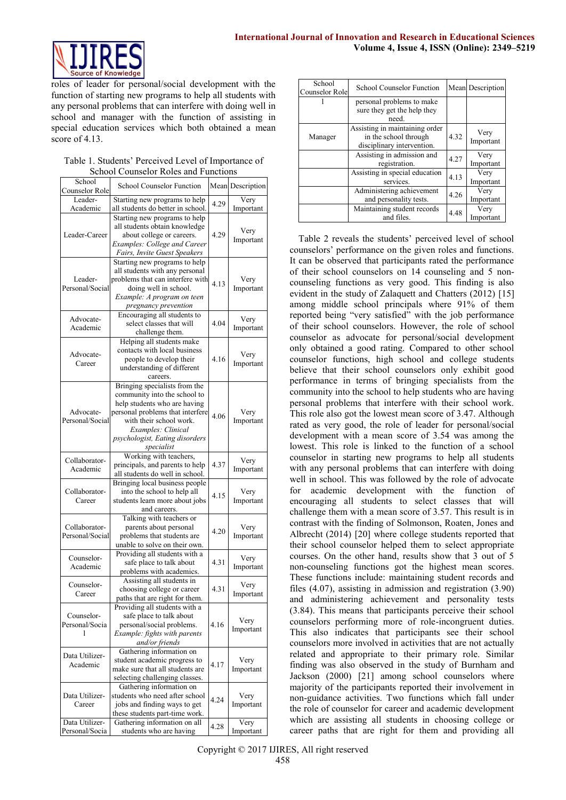

roles of leader for personal/social development with the function of starting new programs to help all students with any personal problems that can interfere with doing well in school and manager with the function of assisting in special education services which both obtained a mean score of 4.13.

|  |  |  | Table 1. Students' Perceived Level of Importance of |  |
|--|--|--|-----------------------------------------------------|--|
|  |  |  | School Counselor Roles and Functions                |  |

| School<br>Counselor Role | <b>School Counselor Function</b>                              |      | Mean Description  |  |
|--------------------------|---------------------------------------------------------------|------|-------------------|--|
| Leader-                  | Starting new programs to help                                 | 4.29 | Very              |  |
| Academic                 | all students do better in school.                             |      | Important         |  |
|                          | Starting new programs to help                                 |      |                   |  |
|                          | all students obtain knowledge                                 |      |                   |  |
| Leader-Career            | about college or careers.                                     | 4.29 | Very              |  |
|                          | <b>Examples: College and Career</b>                           |      | Important         |  |
|                          | Fairs, Invite Guest Speakers                                  |      |                   |  |
|                          | Starting new programs to help                                 |      |                   |  |
|                          |                                                               |      |                   |  |
|                          | all students with any personal                                |      |                   |  |
| Leader-                  | problems that can interfere with                              | 4.13 | Very              |  |
| Personal/Social          | doing well in school.                                         |      | Important         |  |
|                          | Example: A program on teen                                    |      |                   |  |
|                          | pregnancy prevention                                          |      |                   |  |
| Advocate-                | Encouraging all students to                                   |      |                   |  |
|                          | select classes that will                                      | 4.04 | Very              |  |
| Academic                 | challenge them.                                               |      | Important         |  |
|                          | Helping all students make                                     |      |                   |  |
|                          | contacts with local business                                  |      |                   |  |
| Advocate-                | people to develop their                                       | 4.16 | Very              |  |
| Career                   | understanding of different                                    |      | Important         |  |
|                          |                                                               |      |                   |  |
|                          | careers.                                                      |      |                   |  |
|                          | Bringing specialists from the                                 |      |                   |  |
|                          | community into the school to                                  |      |                   |  |
|                          | help students who are having                                  |      |                   |  |
| Advocate-                | personal problems that interfere                              | 4.06 | Very<br>Important |  |
| Personal/Social          | with their school work.                                       |      |                   |  |
|                          | Examples: Clinical                                            |      |                   |  |
|                          | psychologist, Eating disorders                                |      |                   |  |
|                          | specialist                                                    |      |                   |  |
|                          | Working with teachers,                                        |      |                   |  |
| Collaborator-            | principals, and parents to help                               | 4.37 | Very              |  |
| Academic                 | all students do well in school.                               |      | Important         |  |
|                          | Bringing local business people                                |      |                   |  |
| Collaborator-            |                                                               |      |                   |  |
|                          | into the school to help all<br>students learn more about jobs | 4.15 | Very              |  |
| Career                   |                                                               |      | Important         |  |
|                          | and careers.                                                  |      |                   |  |
|                          | Talking with teachers or                                      |      |                   |  |
| Collaborator-            | parents about personal                                        | 4.20 | Very              |  |
| Personal/Social          | problems that students are                                    |      | Important         |  |
|                          | unable to solve on their own.                                 |      |                   |  |
| Counselor-               | Providing all students with a                                 |      |                   |  |
| Academic                 | safe place to talk about                                      | 4.31 | Very              |  |
|                          | problems with academics.                                      |      | Important         |  |
|                          | Assisting all students in                                     |      |                   |  |
| Counselor-               | choosing college or career                                    | 4.31 | Very              |  |
| Career                   | paths that are right for them.                                |      | Important         |  |
|                          | Providing all students with a                                 |      |                   |  |
| Counselor-               | safe place to talk about                                      |      |                   |  |
| Personal/Socia           | personal/social problems.                                     | 4.16 | Very              |  |
| 1                        |                                                               |      | Important         |  |
|                          | Example: fights with parents                                  |      |                   |  |
|                          | and/or friends                                                |      |                   |  |
| Data Utilizer-           | Gathering information on                                      |      |                   |  |
| Academic                 | student academic progress to                                  | 4.17 | Very              |  |
|                          | make sure that all students are                               |      | Important         |  |
|                          | selecting challenging classes.                                |      |                   |  |
|                          | Gathering information on                                      |      |                   |  |
| Data Utilizer-           | students who need after school                                | 4.24 | Very              |  |
| Career                   | jobs and finding ways to get                                  |      | Important         |  |
|                          | these students part-time work.                                |      |                   |  |
| Data Utilizer-           | Gathering information on all                                  |      | Very              |  |
|                          |                                                               | 4.28 |                   |  |

| School<br>Counselor Role | <b>School Counselor Function</b>                                                      |      | Mean Description  |
|--------------------------|---------------------------------------------------------------------------------------|------|-------------------|
|                          | personal problems to make<br>sure they get the help they<br>need.                     |      |                   |
| Manager                  | Assisting in maintaining order<br>in the school through<br>disciplinary intervention. | 4.32 | Very<br>Important |
|                          | Assisting in admission and<br>registration.                                           | 4.27 | Very<br>Important |
|                          | Assisting in special education<br>services.                                           | 4.13 | Very<br>Important |
|                          | Administering achievement<br>and personality tests.                                   | 4.26 | Very<br>Important |
|                          | Maintaining student records<br>and files.                                             | 4.48 | Very<br>Important |

Table 2 reveals the students' perceived level of school counselors' performance on the given roles and functions. It can be observed that participants rated the performance of their school counselors on 14 counseling and 5 noncounseling functions as very good. This finding is also evident in the study of Zalaquett and Chatters (2012) [15] among middle school principals where 91% of them reported being "very satisfied" with the job performance of their school counselors. However, the role of school counselor as advocate for personal/social development only obtained a good rating. Compared to other school counselor functions, high school and college students believe that their school counselors only exhibit good performance in terms of bringing specialists from the community into the school to help students who are having personal problems that interfere with their school work. This role also got the lowest mean score of 3.47. Although rated as very good, the role of leader for personal/social development with a mean score of 3.54 was among the lowest. This role is linked to the function of a school counselor in starting new programs to help all students with any personal problems that can interfere with doing well in school. This was followed by the role of advocate for academic development with the function of encouraging all students to select classes that will challenge them with a mean score of 3.57. This result is in contrast with the finding of Solmonson, Roaten, Jones and Albrecht (2014) [20] where college students reported that their school counselor helped them to select appropriate courses. On the other hand, results show that 3 out of 5 non-counseling functions got the highest mean scores. These functions include: maintaining student records and files (4.07), assisting in admission and registration (3.90) and administering achievement and personality tests (3.84). This means that participants perceive their school counselors performing more of role-incongruent duties. This also indicates that participants see their school counselors more involved in activities that are not actually related and appropriate to their primary role. Similar finding was also observed in the study of Burnham and Jackson (2000) [21] among school counselors where majority of the participants reported their involvement in non-guidance activities. Two functions which fall under the role of counselor for career and academic development which are assisting all students in choosing college or career paths that are right for them and providing all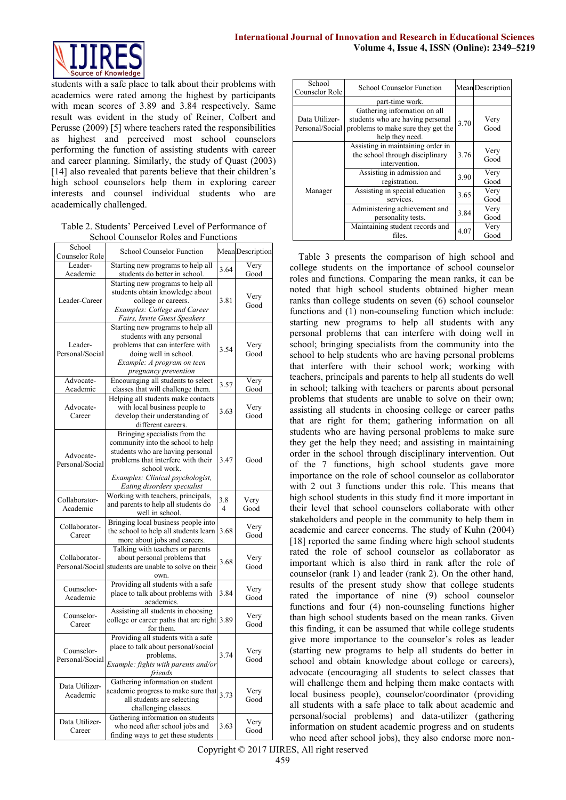

students with a safe place to talk about their problems with academics were rated among the highest by participants with mean scores of 3.89 and 3.84 respectively. Same result was evident in the study of Reiner, Colbert and Perusse (2009) [5] where teachers rated the responsibilities as highest and perceived most school counselors performing the function of assisting students with career and career planning. Similarly, the study of Quast (2003) [14] also revealed that parents believe that their children's high school counselors help them in exploring career interests and counsel individual students who are academically challenged.

Table 2. Students' Perceived Level of Performance of School Counselor Roles and Functions

| School<br>Counselor Role      | <b>School Counselor Function</b>                                                                                                                                                                                                |                       | Mean Description |
|-------------------------------|---------------------------------------------------------------------------------------------------------------------------------------------------------------------------------------------------------------------------------|-----------------------|------------------|
| Leader-<br>Academic           | Starting new programs to help all<br>students do better in school.                                                                                                                                                              | 3.64                  | Very<br>Good     |
| Leader-Career                 | Starting new programs to help all<br>students obtain knowledge about<br>college or careers.<br>Examples: College and Career<br>Fairs, Invite Guest Speakers                                                                     | 3.81                  | Very<br>Good     |
| Leader-<br>Personal/Social    | Starting new programs to help all<br>students with any personal<br>problems that can interfere with<br>doing well in school.<br>Example: A program on teen<br>pregnancy prevention                                              | 3.54                  | Very<br>Good     |
| Advocate-<br>Academic         | Encouraging all students to select<br>classes that will challenge them.                                                                                                                                                         | 3.57                  | Very<br>Good     |
| Advocate-<br>Career           | Helping all students make contacts<br>with local business people to<br>develop their understanding of<br>different careers.                                                                                                     | 3.63                  | Very<br>Good     |
| Advocate-<br>Personal/Social  | Bringing specialists from the<br>community into the school to help<br>students who are having personal<br>problems that interfere with their<br>school work.<br>Examples: Clinical psychologist,<br>Eating disorders specialist | 3.47                  | Good             |
| Collaborator-<br>Academic     | Working with teachers, principals,<br>and parents to help all students do<br>well in school.                                                                                                                                    | 3.8<br>$\overline{4}$ | Very<br>Good     |
| Collaborator-<br>Career       | Bringing local business people into<br>the school to help all students learn<br>more about jobs and careers.                                                                                                                    | 3.68                  | Very<br>Good     |
| Collaborator-                 | Talking with teachers or parents<br>about personal problems that<br>Personal/Social students are unable to solve on their<br>own.                                                                                               | 3.68                  | Very<br>Good     |
| Counselor-<br>Academic        | Providing all students with a safe<br>place to talk about problems with<br>academics.                                                                                                                                           | 3.84                  | Very<br>Good     |
| Counselor-<br>Career          | Assisting all students in choosing<br>college or career paths that are right<br>for them.                                                                                                                                       | 3.89                  | Very<br>Good     |
| Counselor-<br>Personal/Social | Providing all students with a safe<br>place to talk about personal/social<br>problems.<br>Example: fights with parents and/or<br>friends                                                                                        | 3.74                  | Very<br>Good     |
| Data Utilizer-<br>Academic    | Gathering information on student<br>academic progress to make sure that<br>all students are selecting<br>challenging classes.                                                                                                   | 3.73                  | Very<br>Good     |
| Data Utilizer-<br>Career      | Gathering information on students<br>who need after school jobs and<br>finding ways to get these students                                                                                                                       | 3.63                  | Very<br>Good     |

| School<br>Counselor Role          | <b>School Counselor Function</b>                                                                                          |      | <b>Mean Description</b> |
|-----------------------------------|---------------------------------------------------------------------------------------------------------------------------|------|-------------------------|
|                                   | part-time work.                                                                                                           |      |                         |
| Data Utilizer-<br>Personal/Social | Gathering information on all<br>students who are having personal<br>problems to make sure they get the<br>help they need. | 3.70 | Very<br>Good            |
|                                   | Assisting in maintaining order in<br>the school through disciplinary<br>intervention.                                     | 3.76 | Very<br>Good            |
|                                   | Assisting in admission and<br>registration.                                                                               | 3.90 | Very<br>Good            |
| Manager                           | Assisting in special education<br>services.                                                                               | 3.65 | Very<br>Good            |
|                                   | Administering achievement and<br>personality tests.                                                                       | 3.84 | Very<br>Good            |
|                                   | Maintaining student records and<br>files.                                                                                 | 4.07 | Very<br>Good            |

Table 3 presents the comparison of high school and college students on the importance of school counselor roles and functions. Comparing the mean ranks, it can be noted that high school students obtained higher mean ranks than college students on seven (6) school counselor functions and (1) non-counseling function which include: starting new programs to help all students with any personal problems that can interfere with doing well in school; bringing specialists from the community into the school to help students who are having personal problems that interfere with their school work; working with teachers, principals and parents to help all students do well in school; talking with teachers or parents about personal problems that students are unable to solve on their own; assisting all students in choosing college or career paths that are right for them; gathering information on all students who are having personal problems to make sure they get the help they need; and assisting in maintaining order in the school through disciplinary intervention. Out of the 7 functions, high school students gave more importance on the role of school counselor as collaborator with 2 out 3 functions under this role. This means that high school students in this study find it more important in their level that school counselors collaborate with other stakeholders and people in the community to help them in academic and career concerns. The study of Kuhn (2004) [18] reported the same finding where high school students rated the role of school counselor as collaborator as important which is also third in rank after the role of counselor (rank 1) and leader (rank 2). On the other hand, results of the present study show that college students rated the importance of nine (9) school counselor functions and four (4) non-counseling functions higher than high school students based on the mean ranks. Given this finding, it can be assumed that while college students give more importance to the counselor's roles as leader (starting new programs to help all students do better in school and obtain knowledge about college or careers), advocate (encouraging all students to select classes that will challenge them and helping them make contacts with local business people), counselor/coordinator (providing all students with a safe place to talk about academic and personal/social problems) and data-utilizer (gathering information on student academic progress and on students who need after school jobs), they also endorse more non-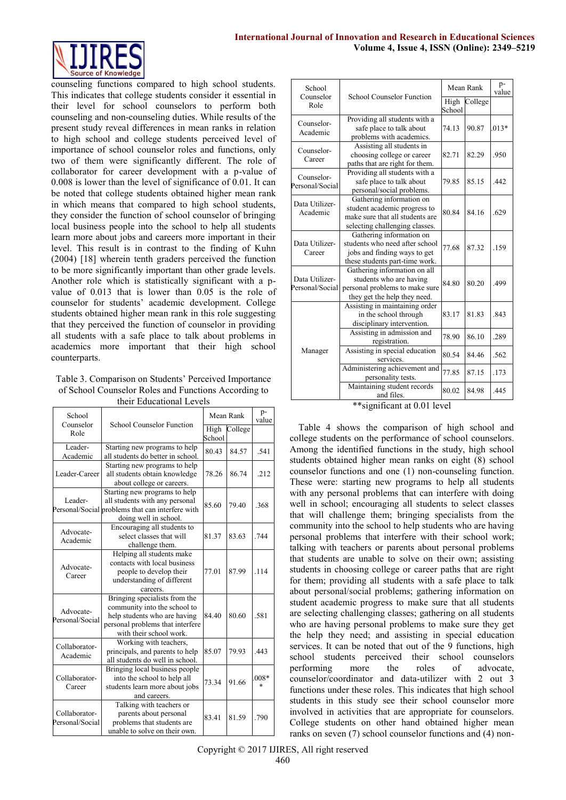### **International Journal of Innovation and Research in Educational Sciences Volume 4, Issue 4, ISSN (Online): 2349–5219**



counseling functions compared to high school students. This indicates that college students consider it essential in their level for school counselors to perform both counseling and non-counseling duties. While results of the present study reveal differences in mean ranks in relation to high school and college students perceived level of importance of school counselor roles and functions, only two of them were significantly different. The role of collaborator for career development with a p-value of 0.008 is lower than the level of significance of 0.01. It can be noted that college students obtained higher mean rank in which means that compared to high school students, they consider the function of school counselor of bringing local business people into the school to help all students learn more about jobs and careers more important in their level. This result is in contrast to the finding of Kuhn (2004) [18] wherein tenth graders perceived the function to be more significantly important than other grade levels. Another role which is statistically significant with a pvalue of 0.013 that is lower than 0.05 is the role of counselor for students' academic development. College students obtained higher mean rank in this role suggesting that they perceived the function of counselor in providing all students with a safe place to talk about problems in academics more important that their high school counterparts.

Table 3. Comparison on Students' Perceived Importance of School Counselor Roles and Functions According to their Educational Levels

| their equeational levels         |                                                                                                                                                              |                |           |             |  |
|----------------------------------|--------------------------------------------------------------------------------------------------------------------------------------------------------------|----------------|-----------|-------------|--|
| School<br>Counselor              | School Counselor Function                                                                                                                                    |                | Mean Rank |             |  |
| Role                             |                                                                                                                                                              | High<br>School | College   |             |  |
| Leader-<br>Academic              | Starting new programs to help<br>all students do better in school.                                                                                           | 80.43          | 84.57     | .541        |  |
| Leader-Career                    | Starting new programs to help<br>all students obtain knowledge<br>about college or careers.                                                                  | 78.26          | 86.74     | .212        |  |
| Leader-                          | Starting new programs to help<br>all students with any personal<br>Personal/Social problems that can interfere with<br>doing well in school.                 | 85.60          | 79.40     | .368        |  |
| Advocate-<br>Academic            | Encouraging all students to<br>select classes that will<br>challenge them.                                                                                   | 81.37          | 83.63     | .744        |  |
| Advocate-<br>Career              | Helping all students make<br>contacts with local business<br>people to develop their<br>understanding of different<br>careers.                               | 77.01          | 87.99     | .114        |  |
| Advocate-<br>Personal/Social     | Bringing specialists from the<br>community into the school to<br>help students who are having<br>personal problems that interfere<br>with their school work. | 84.40          | 80.60     | .581        |  |
| Collaborator-<br>Academic        | Working with teachers,<br>principals, and parents to help<br>all students do well in school.                                                                 | 85.07          | 79.93     | .443        |  |
| Collaborator-<br>Career          | Bringing local business people<br>into the school to help all<br>students learn more about jobs<br>and careers.                                              | 73.34          | 91.66     | $008*$<br>* |  |
| Collaborator-<br>Personal/Social | Talking with teachers or<br>parents about personal<br>problems that students are<br>unable to solve on their own.                                            | 83.41          | 81.59     | .790        |  |

| School<br>Counselor               | <b>School Counselor Function</b>                                                                                              | Mean Rank      |         | p-<br>value |
|-----------------------------------|-------------------------------------------------------------------------------------------------------------------------------|----------------|---------|-------------|
| Role                              |                                                                                                                               | High<br>School | College |             |
| Counselor-<br>Academic            | Providing all students with a<br>safe place to talk about<br>problems with academics.                                         | 74.13          | 90.87   | $.013*$     |
| Counselor-<br>Career              | Assisting all students in<br>choosing college or career<br>paths that are right for them.                                     | 82.71          | 82.29   | .950        |
| Counselor-<br>Personal/Social     | Providing all students with a<br>safe place to talk about<br>personal/social problems.                                        | 79.85          | 85.15   | .442        |
| Data Utilizer-<br>Academic        | Gathering information on<br>student academic progress to<br>make sure that all students are<br>selecting challenging classes. | 80.84          | 84.16   | .629        |
| Data Utilizer-<br>Career          | Gathering information on<br>students who need after school<br>jobs and finding ways to get<br>these students part-time work.  | 77.68          | 87.32   | .159        |
| Data Utilizer-<br>Personal/Social | Gathering information on all<br>students who are having<br>personal problems to make sure<br>they get the help they need.     | 84.80          | 80.20   | .499        |
|                                   | Assisting in maintaining order<br>in the school through<br>disciplinary intervention.                                         | 83.17          | 81.83   | .843        |
|                                   | Assisting in admission and<br>registration.                                                                                   | 78.90          | 86.10   | .289        |
| Manager                           | Assisting in special education<br>services.                                                                                   | 80.54          | 84.46   | .562        |
|                                   | Administering achievement and<br>personality tests.                                                                           | 77.85          | 87.15   | .173        |
|                                   | Maintaining student records<br>and files.<br>4.40011<br>ホホーン<br>$2.02$ and $-$                                                | 80.02          | 84.98   | .445        |

\*\*significant at 0.01 level

Table 4 shows the comparison of high school and college students on the performance of school counselors. Among the identified functions in the study, high school students obtained higher mean ranks on eight (8) school counselor functions and one (1) non-counseling function. These were: starting new programs to help all students with any personal problems that can interfere with doing well in school; encouraging all students to select classes that will challenge them; bringing specialists from the community into the school to help students who are having personal problems that interfere with their school work; talking with teachers or parents about personal problems that students are unable to solve on their own; assisting students in choosing college or career paths that are right for them; providing all students with a safe place to talk about personal/social problems; gathering information on student academic progress to make sure that all students are selecting challenging classes; gathering on all students who are having personal problems to make sure they get the help they need; and assisting in special education services. It can be noted that out of the 9 functions, high school students perceived their school counselors performing more the roles of advocate, counselor/coordinator and data-utilizer with 2 out 3 functions under these roles. This indicates that high school students in this study see their school counselor more involved in activities that are appropriate for counselors. College students on other hand obtained higher mean ranks on seven (7) school counselor functions and (4) non-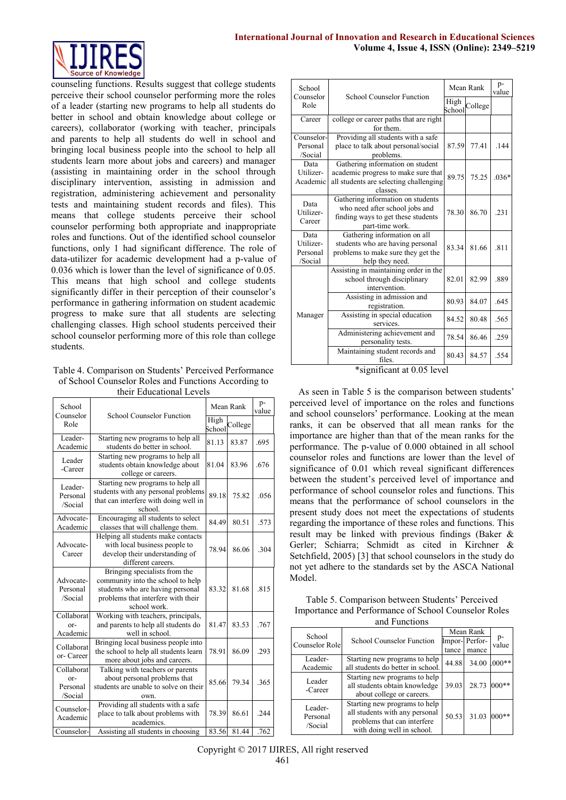

counseling functions. Results suggest that college students perceive their school counselor performing more the roles of a leader (starting new programs to help all students do better in school and obtain knowledge about college or careers), collaborator (working with teacher, principals and parents to help all students do well in school and bringing local business people into the school to help all students learn more about jobs and careers) and manager (assisting in maintaining order in the school through disciplinary intervention, assisting in admission and registration, administering achievement and personality tests and maintaining student records and files). This means that college students perceive their school counselor performing both appropriate and inappropriate roles and functions. Out of the identified school counselor functions, only 1 had significant difference. The role of data-utilizer for academic development had a p-value of 0.036 which is lower than the level of significance of 0.05. This means that high school and college students significantly differ in their perception of their counselor's performance in gathering information on student academic progress to make sure that all students are selecting challenging classes. High school students perceived their school counselor performing more of this role than college students.

#### Table 4. Comparison on Students' Perceived Performance of School Counselor Roles and Functions According to their Educational Levels

|                                          | Luuvuuviitti L                                                                                                                                               |       |           |             |
|------------------------------------------|--------------------------------------------------------------------------------------------------------------------------------------------------------------|-------|-----------|-------------|
| School<br>Counselor                      | <b>School Counselor Function</b>                                                                                                                             |       | Mean Rank | p-<br>value |
| Role                                     | School                                                                                                                                                       |       | College   |             |
| Leader-<br>Academic                      | Starting new programs to help all<br>students do better in school.                                                                                           | 81.13 | 83.87     | .695        |
| Leader<br>-Career                        | Starting new programs to help all<br>students obtain knowledge about<br>college or careers.                                                                  | 81.04 | 83.96     | .676        |
| Leader-<br>Personal<br>/Social           | Starting new programs to help all<br>students with any personal problems<br>that can interfere with doing well in<br>school.                                 | 89.18 | 75.82     | .056        |
| Advocate-<br>Academic                    | Encouraging all students to select<br>classes that will challenge them.                                                                                      | 84.49 | 80.51     | .573        |
| Advocate-<br>Career                      | Helping all students make contacts<br>with local business people to<br>develop their understanding of<br>different careers.                                  | 78.94 | 86.06     | .304        |
| Advocate-<br>Personal<br>/Social         | Bringing specialists from the<br>community into the school to help<br>students who are having personal<br>problems that interfere with their<br>school work. | 83.32 | 81.68     | .815        |
| Collaborat<br>or-<br>Academic            | Working with teachers, principals,<br>and parents to help all students do<br>well in school.                                                                 | 81.47 | 83.53     | .767        |
| Collaborat<br>or-Career                  | Bringing local business people into<br>the school to help all students learn<br>more about jobs and careers.                                                 | 78.91 | 86.09     | .293        |
| Collaborat<br>or-<br>Personal<br>/Social | Talking with teachers or parents<br>about personal problems that<br>students are unable to solve on their<br>own.                                            | 85.66 | 79.34     | .365        |
| Counselor-<br>Academic                   | Providing all students with a safe<br>place to talk about problems with<br>academics.                                                                        | 78.39 | 86.61     | .244        |
| Counselor-                               | Assisting all students in choosing                                                                                                                           | 83.56 | 81.44     | .762        |

| School<br>Counselor                      | <b>School Counselor Function</b>                                                                                              |                | Mean Rank |         |
|------------------------------------------|-------------------------------------------------------------------------------------------------------------------------------|----------------|-----------|---------|
| Role                                     |                                                                                                                               | High<br>School | College   |         |
| Career                                   | college or career paths that are right<br>for them.                                                                           |                |           |         |
| Counselor-<br>Personal<br>/Social        | Providing all students with a safe<br>place to talk about personal/social<br>problems.                                        | 87.59          | 77.41     | .144    |
| Data<br>Utilizer-<br>Academic            | Gathering information on student<br>academic progress to make sure that<br>all students are selecting challenging<br>classes. | 89.75          | 75.25     | $.036*$ |
| Data<br>Utilizer-<br>Career              | Gathering information on students<br>who need after school jobs and<br>finding ways to get these students<br>part-time work.  | 78.30          | 86.70     | .231    |
| Data<br>Utilizer-<br>Personal<br>/Social | Gathering information on all<br>students who are having personal<br>problems to make sure they get the<br>help they need.     | 83.34          | 81.66     | .811    |
|                                          | Assisting in maintaining order in the<br>school through disciplinary<br>intervention.                                         | 82.01          | 82.99     | .889    |
|                                          | Assisting in admission and<br>registration.                                                                                   | 80.93          | 84.07     | .645    |
| Manager                                  | Assisting in special education<br>services.                                                                                   | 84.52          | 80.48     | .565    |
|                                          | Administering achievement and<br>personality tests.                                                                           | 78.54          | 86.46     | .259    |
|                                          | Maintaining student records and<br>files.                                                                                     | 80.43          | 84.57     | .554    |

\*significant at 0.05 level

As seen in Table 5 is the comparison between students' perceived level of importance on the roles and functions and school counselors' performance. Looking at the mean ranks, it can be observed that all mean ranks for the importance are higher than that of the mean ranks for the performance. The p-value of 0.000 obtained in all school counselor roles and functions are lower than the level of significance of 0.01 which reveal significant differences between the student's perceived level of importance and performance of school counselor roles and functions. This means that the performance of school counselors in the present study does not meet the expectations of students regarding the importance of these roles and functions. This result may be linked with previous findings (Baker & Gerler; Schiarra; Schmidt as cited in Kirchner & Setchfield, 2005) [3] that school counselors in the study do not yet adhere to the standards set by the ASCA National Model.

| Table 5. Comparison between Students' Perceived      |
|------------------------------------------------------|
| Importance and Performance of School Counselor Roles |
| and Functions                                        |

| School                         |                                                                                                                              | Mean Rank |               |             |
|--------------------------------|------------------------------------------------------------------------------------------------------------------------------|-----------|---------------|-------------|
| Counselor Role                 | School Counselor Function                                                                                                    |           | Impor-Perfor- | p-<br>value |
|                                |                                                                                                                              | tance     | mance         |             |
| Leader-<br>Academic            | Starting new programs to help<br>all students do better in school.                                                           | 44.88     | 34.00         | $1000**$    |
| Leader<br>-Career              | Starting new programs to help<br>all students obtain knowledge<br>about college or careers.                                  | 39.03     | 28.73         | $000**$     |
| Leader-<br>Personal<br>/Social | Starting new programs to help<br>all students with any personal<br>problems that can interfere<br>with doing well in school. | 50.53     | 31.03         | $000**$     |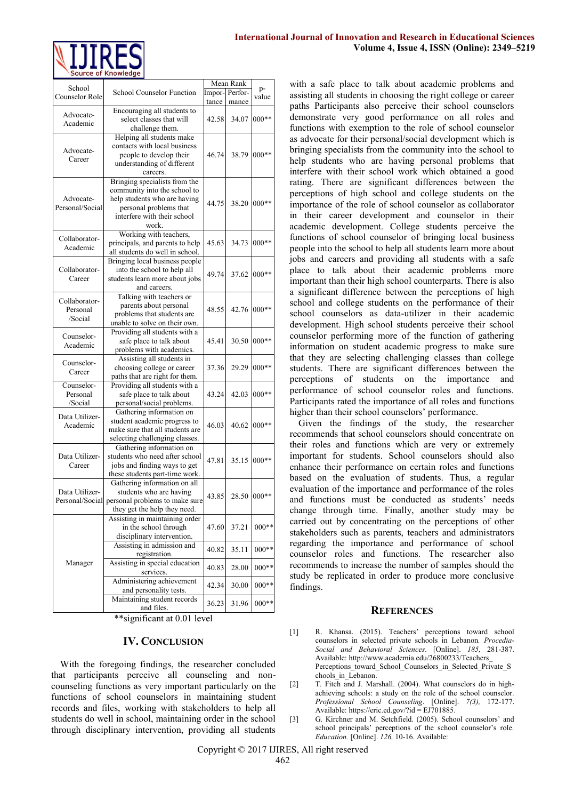

|                                                      | School Counselor Function       | Mean Rank |         |         |
|------------------------------------------------------|---------------------------------|-----------|---------|---------|
| School<br>Counselor Role                             |                                 | Impor-    | Perfor- | p-      |
|                                                      |                                 | tance     | mance   | value   |
| Advocate-<br>Academic                                | Encouraging all students to     |           |         |         |
|                                                      | select classes that will        | 42.58     | 34.07   | $000**$ |
|                                                      | challenge them.                 |           |         |         |
| Advocate-<br>Career                                  | Helping all students make       | 46.74     | 38.79   | $000**$ |
|                                                      | contacts with local business    |           |         |         |
|                                                      | people to develop their         |           |         |         |
|                                                      | understanding of different      |           |         |         |
|                                                      | careers.                        |           |         |         |
| Advocate-<br>Personal/Social                         | Bringing specialists from the   | 44.75     | 38.20   | $000**$ |
|                                                      | community into the school to    |           |         |         |
|                                                      | help students who are having    |           |         |         |
|                                                      | personal problems that          |           |         |         |
|                                                      | interfere with their school     |           |         |         |
|                                                      | work.                           |           |         |         |
| Collaborator-<br>Academic<br>Collaborator-<br>Career | Working with teachers,          |           | 34.73   | $000**$ |
|                                                      | principals, and parents to help | 45.63     |         |         |
|                                                      | all students do well in school. |           |         |         |
|                                                      | Bringing local business people  |           |         |         |
|                                                      | into the school to help all     | 49.74     | 37.62   | $000**$ |
|                                                      | students learn more about jobs  |           |         |         |
|                                                      |                                 |           |         |         |
|                                                      | and careers.                    |           |         |         |
| Collaborator-<br>Personal<br>/Social                 | Talking with teachers or        | 48.55     | 42.76   | $000**$ |
|                                                      | parents about personal          |           |         |         |
|                                                      | problems that students are      |           |         |         |
|                                                      | unable to solve on their own.   |           |         |         |
| Counselor-<br>Academic                               | Providing all students with a   | 45.41     | 30.50   |         |
|                                                      | safe place to talk about        |           |         | $000**$ |
|                                                      | problems with academics.        |           |         |         |
| Counselor-<br>Career                                 | Assisting all students in       | 37.36     | 29.29   | $000**$ |
|                                                      | choosing college or career      |           |         |         |
|                                                      | paths that are right for them.  |           |         |         |
| Counselor-<br>Personal<br>/Social                    | Providing all students with a   | 43.24     | 42.03   | $000**$ |
|                                                      | safe place to talk about        |           |         |         |
|                                                      | personal/social problems.       |           |         |         |
| Data Utilizer-<br>Academic                           | Gathering information on        | 46.03     | 40.62   | $000**$ |
|                                                      | student academic progress to    |           |         |         |
|                                                      | make sure that all students are |           |         |         |
|                                                      | selecting challenging classes.  |           |         |         |
| Data Utilizer-<br>Career                             | Gathering information on        | 47.81     | 35.15   | $000**$ |
|                                                      | students who need after school  |           |         |         |
|                                                      | jobs and finding ways to get    |           |         |         |
|                                                      | these students part-time work.  |           |         |         |
| Data Utilizer-<br>Personal/Social                    | Gathering information on all    | 43.85     | 28.50   | $000**$ |
|                                                      | students who are having         |           |         |         |
|                                                      | personal problems to make sure  |           |         |         |
|                                                      | they get the help they need.    |           |         |         |
| Manager                                              | Assisting in maintaining order  | 47.60     | 37.21   |         |
|                                                      | in the school through           |           |         | $000**$ |
|                                                      | disciplinary intervention.      |           |         |         |
|                                                      | Assisting in admission and      |           |         |         |
|                                                      | registration.                   | 40.82     | 35.11   | $000**$ |
|                                                      | Assisting in special education  |           |         |         |
|                                                      | services.                       | 40.83     | 28.00   | $000**$ |
|                                                      | Administering achievement       |           |         |         |
|                                                      | and personality tests.          | 42.34     | 30.00   | $000**$ |
|                                                      | Maintaining student records     | 36.23     | 31.96   | $000**$ |
|                                                      | and files.                      |           |         |         |
|                                                      |                                 |           |         |         |

\*\*significant at 0.01 level

#### **IV. CONCLUSION**

With the foregoing findings, the researcher concluded that participants perceive all counseling and noncounseling functions as very important particularly on the functions of school counselors in maintaining student records and files, working with stakeholders to help all students do well in school, maintaining order in the school through disciplinary intervention, providing all students

with a safe place to talk about academic problems and assisting all students in choosing the right college or career paths Participants also perceive their school counselors demonstrate very good performance on all roles and functions with exemption to the role of school counselor as advocate for their personal/social development which is bringing specialists from the community into the school to help students who are having personal problems that interfere with their school work which obtained a good rating. There are significant differences between the perceptions of high school and college students on the importance of the role of school counselor as collaborator in their career development and counselor in their academic development. College students perceive the functions of school counselor of bringing local business people into the school to help all students learn more about jobs and careers and providing all students with a safe place to talk about their academic problems more important than their high school counterparts. There is also a significant difference between the perceptions of high school and college students on the performance of their school counselors as data-utilizer in their academic development. High school students perceive their school counselor performing more of the function of gathering information on student academic progress to make sure that they are selecting challenging classes than college students. There are significant differences between the perceptions of students on the importance and performance of school counselor roles and functions. Participants rated the importance of all roles and functions higher than their school counselors' performance.

Given the findings of the study, the researcher recommends that school counselors should concentrate on their roles and functions which are very or extremely important for students. School counselors should also enhance their performance on certain roles and functions based on the evaluation of students. Thus, a regular evaluation of the importance and performance of the roles and functions must be conducted as students' needs change through time. Finally, another study may be carried out by concentrating on the perceptions of other stakeholders such as parents, teachers and administrators regarding the importance and performance of school counselor roles and functions. The researcher also recommends to increase the number of samples should the study be replicated in order to produce more conclusive findings.

#### **REFERENCES**

- [1] R. Khansa. (2015). Teachers' perceptions toward school counselors in selected private schools in Lebanon*. Procedia-Social and Behavioral Sciences*. [Online]. *185,* 281-387. Available: http://www.academia.edu/26800233/Teachers\_ Perceptions toward School Counselors in Selected Private S chools\_in\_Lebanon.
- [2] T. Fitch and J. Marshall. (2004). What counselors do in highachieving schools: a study on the role of the school counselor. *Professional School Counseling*. [Online]. *7(3),* 172-177. Available[: https://eric.ed.gov/?id](https://eric.ed.gov/?id) = EJ701885.
- [3] G. Kirchner and M. Setchfield. (2005). School counselors' and school principals' perceptions of the school counselor's role. *Education.* [Online]. *126,* 10-16. Available: